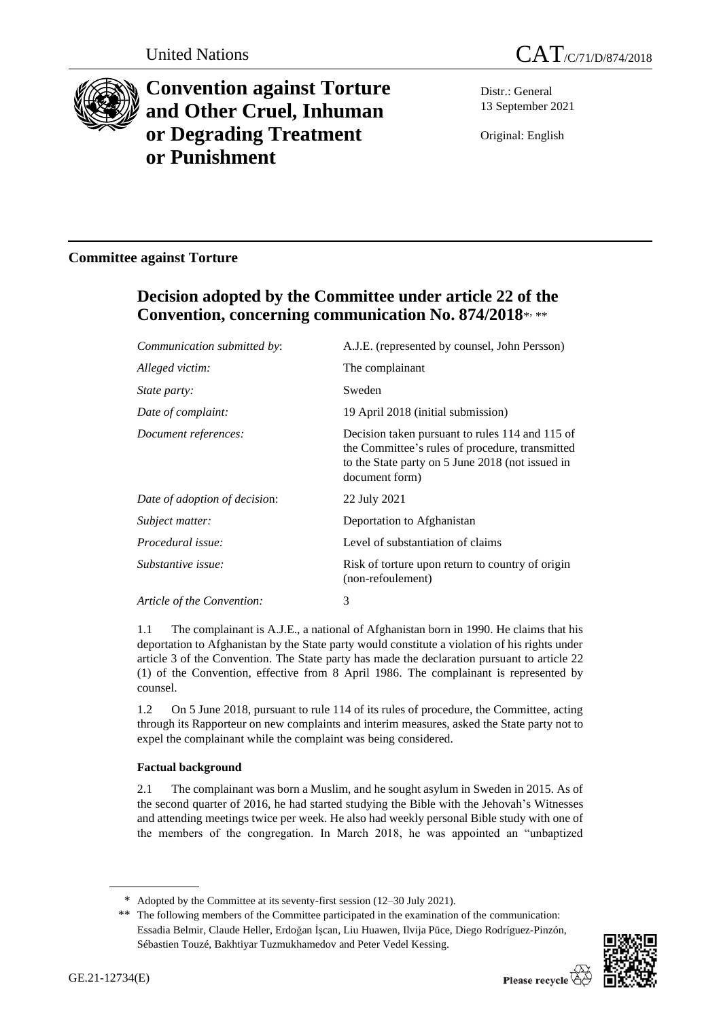



# **Convention against Torture and Other Cruel, Inhuman or Degrading Treatment or Punishment**

Distr.: General 13 September 2021

Original: English

### **Committee against Torture**

## **Decision adopted by the Committee under article 22 of the Convention, concerning communication No. 874/2018**\* , \*\*

| Communication submitted by:   | A.J.E. (represented by counsel, John Persson)                                                                                                                            |
|-------------------------------|--------------------------------------------------------------------------------------------------------------------------------------------------------------------------|
| Alleged victim:               | The complainant                                                                                                                                                          |
| <i>State party:</i>           | Sweden                                                                                                                                                                   |
| Date of complaint:            | 19 April 2018 (initial submission)                                                                                                                                       |
| Document references:          | Decision taken pursuant to rules 114 and 115 of<br>the Committee's rules of procedure, transmitted<br>to the State party on 5 June 2018 (not issued in<br>document form) |
| Date of adoption of decision: | 22 July 2021                                                                                                                                                             |
| Subject matter:               | Deportation to Afghanistan                                                                                                                                               |
| Procedural issue:             | Level of substantiation of claims                                                                                                                                        |
| Substantive issue:            | Risk of torture upon return to country of origin<br>(non-refoulement)                                                                                                    |
| Article of the Convention:    | 3                                                                                                                                                                        |
|                               |                                                                                                                                                                          |

1.1 The complainant is A.J.E., a national of Afghanistan born in 1990. He claims that his deportation to Afghanistan by the State party would constitute a violation of his rights under article 3 of the Convention. The State party has made the declaration pursuant to article 22 (1) of the Convention, effective from 8 April 1986. The complainant is represented by counsel.

1.2 On 5 June 2018, pursuant to rule 114 of its rules of procedure, the Committee, acting through its Rapporteur on new complaints and interim measures, asked the State party not to expel the complainant while the complaint was being considered.

#### **Factual background**

2.1 The complainant was born a Muslim, and he sought asylum in Sweden in 2015. As of the second quarter of 2016, he had started studying the Bible with the Jehovah's Witnesses and attending meetings twice per week. He also had weekly personal Bible study with one of the members of the congregation. In March 2018, he was appointed an "unbaptized

<sup>\*\*</sup> The following members of the Committee participated in the examination of the communication: Essadia Belmir, Claude Heller, Erdoğan İşcan, Liu Huawen, Ilvija Pūce, Diego Rodríguez-Pinzón, Sébastien Touzé, Bakhtiyar Tuzmukhamedov and Peter Vedel Kessing.



<sup>\*</sup> Adopted by the Committee at its seventy-first session (12–30 July 2021).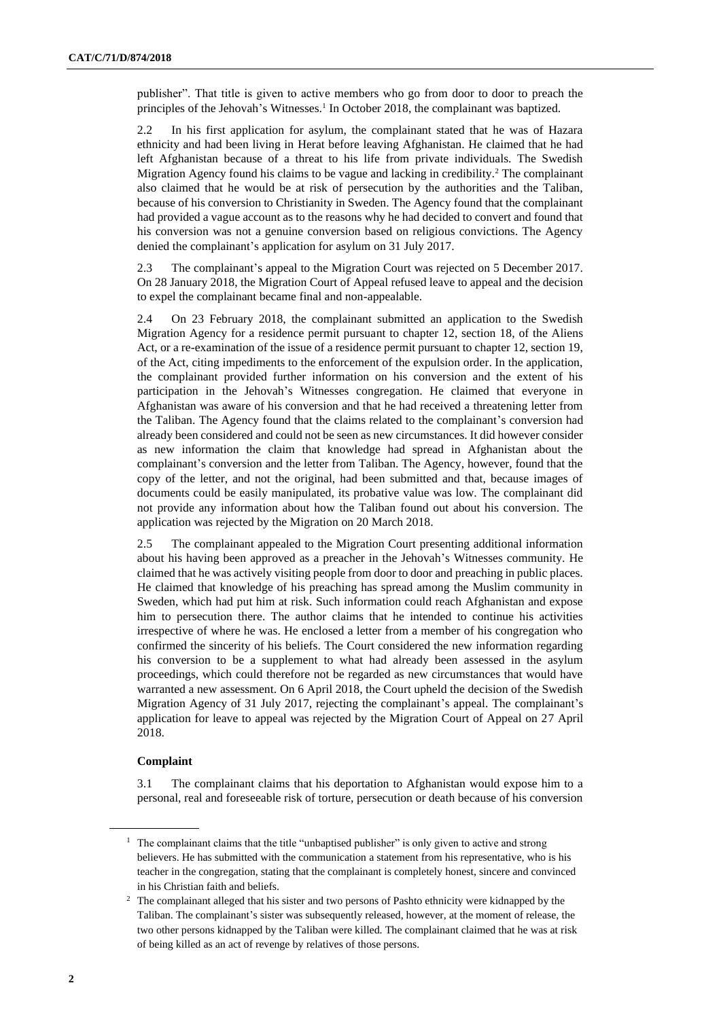publisher". That title is given to active members who go from door to door to preach the principles of the Jehovah's Witnesses.<sup>1</sup> In October 2018, the complainant was baptized.

2.2 In his first application for asylum, the complainant stated that he was of Hazara ethnicity and had been living in Herat before leaving Afghanistan. He claimed that he had left Afghanistan because of a threat to his life from private individuals. The Swedish Migration Agency found his claims to be vague and lacking in credibility.<sup>2</sup> The complainant also claimed that he would be at risk of persecution by the authorities and the Taliban, because of his conversion to Christianity in Sweden. The Agency found that the complainant had provided a vague account as to the reasons why he had decided to convert and found that his conversion was not a genuine conversion based on religious convictions. The Agency denied the complainant's application for asylum on 31 July 2017.

2.3 The complainant's appeal to the Migration Court was rejected on 5 December 2017. On 28 January 2018, the Migration Court of Appeal refused leave to appeal and the decision to expel the complainant became final and non-appealable.

2.4 On 23 February 2018, the complainant submitted an application to the Swedish Migration Agency for a residence permit pursuant to chapter 12, section 18, of the Aliens Act, or a re-examination of the issue of a residence permit pursuant to chapter 12, section 19, of the Act, citing impediments to the enforcement of the expulsion order. In the application, the complainant provided further information on his conversion and the extent of his participation in the Jehovah's Witnesses congregation. He claimed that everyone in Afghanistan was aware of his conversion and that he had received a threatening letter from the Taliban. The Agency found that the claims related to the complainant's conversion had already been considered and could not be seen as new circumstances. It did however consider as new information the claim that knowledge had spread in Afghanistan about the complainant's conversion and the letter from Taliban. The Agency, however, found that the copy of the letter, and not the original, had been submitted and that, because images of documents could be easily manipulated, its probative value was low. The complainant did not provide any information about how the Taliban found out about his conversion. The application was rejected by the Migration on 20 March 2018.

2.5 The complainant appealed to the Migration Court presenting additional information about his having been approved as a preacher in the Jehovah's Witnesses community. He claimed that he was actively visiting people from door to door and preaching in public places. He claimed that knowledge of his preaching has spread among the Muslim community in Sweden, which had put him at risk. Such information could reach Afghanistan and expose him to persecution there. The author claims that he intended to continue his activities irrespective of where he was. He enclosed a letter from a member of his congregation who confirmed the sincerity of his beliefs. The Court considered the new information regarding his conversion to be a supplement to what had already been assessed in the asylum proceedings, which could therefore not be regarded as new circumstances that would have warranted a new assessment. On 6 April 2018, the Court upheld the decision of the Swedish Migration Agency of 31 July 2017, rejecting the complainant's appeal. The complainant's application for leave to appeal was rejected by the Migration Court of Appeal on 27 April 2018.

#### **Complaint**

3.1 The complainant claims that his deportation to Afghanistan would expose him to a personal, real and foreseeable risk of torture, persecution or death because of his conversion

<sup>&</sup>lt;sup>1</sup> The complainant claims that the title "unbaptised publisher" is only given to active and strong believers. He has submitted with the communication a statement from his representative, who is his teacher in the congregation, stating that the complainant is completely honest, sincere and convinced in his Christian faith and beliefs.

<sup>&</sup>lt;sup>2</sup> The complainant alleged that his sister and two persons of Pashto ethnicity were kidnapped by the Taliban. The complainant's sister was subsequently released, however, at the moment of release, the two other persons kidnapped by the Taliban were killed. The complainant claimed that he was at risk of being killed as an act of revenge by relatives of those persons.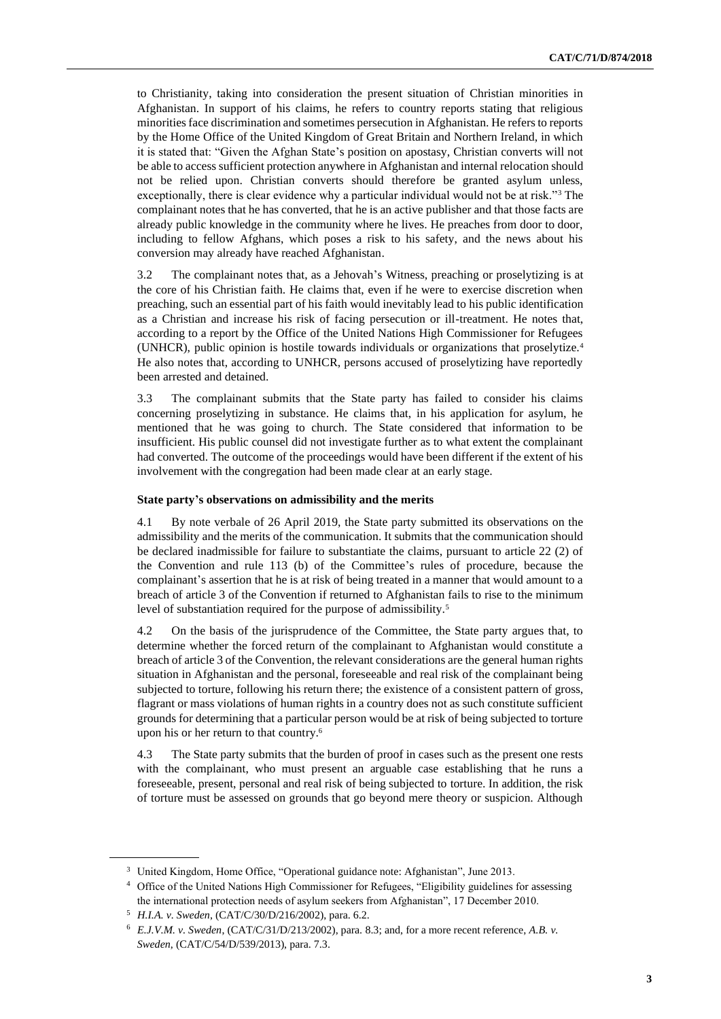to Christianity, taking into consideration the present situation of Christian minorities in Afghanistan. In support of his claims, he refers to country reports stating that religious minorities face discrimination and sometimes persecution in Afghanistan. He refers to reports by the Home Office of the United Kingdom of Great Britain and Northern Ireland, in which it is stated that: "Given the Afghan State's position on apostasy, Christian converts will not be able to access sufficient protection anywhere in Afghanistan and internal relocation should not be relied upon. Christian converts should therefore be granted asylum unless, exceptionally, there is clear evidence why a particular individual would not be at risk."<sup>3</sup> The complainant notes that he has converted, that he is an active publisher and that those facts are already public knowledge in the community where he lives. He preaches from door to door, including to fellow Afghans, which poses a risk to his safety, and the news about his conversion may already have reached Afghanistan.

3.2 The complainant notes that, as a Jehovah's Witness, preaching or proselytizing is at the core of his Christian faith. He claims that, even if he were to exercise discretion when preaching, such an essential part of his faith would inevitably lead to his public identification as a Christian and increase his risk of facing persecution or ill-treatment. He notes that, according to a report by the Office of the United Nations High Commissioner for Refugees (UNHCR), public opinion is hostile towards individuals or organizations that proselytize.<sup>4</sup> He also notes that, according to UNHCR, persons accused of proselytizing have reportedly been arrested and detained.

3.3 The complainant submits that the State party has failed to consider his claims concerning proselytizing in substance. He claims that, in his application for asylum, he mentioned that he was going to church. The State considered that information to be insufficient. His public counsel did not investigate further as to what extent the complainant had converted. The outcome of the proceedings would have been different if the extent of his involvement with the congregation had been made clear at an early stage.

#### **State party's observations on admissibility and the merits**

4.1 By note verbale of 26 April 2019, the State party submitted its observations on the admissibility and the merits of the communication. It submits that the communication should be declared inadmissible for failure to substantiate the claims, pursuant to article 22 (2) of the Convention and rule 113 (b) of the Committee's rules of procedure, because the complainant's assertion that he is at risk of being treated in a manner that would amount to a breach of article 3 of the Convention if returned to Afghanistan fails to rise to the minimum level of substantiation required for the purpose of admissibility.<sup>5</sup>

4.2 On the basis of the jurisprudence of the Committee, the State party argues that, to determine whether the forced return of the complainant to Afghanistan would constitute a breach of article 3 of the Convention, the relevant considerations are the general human rights situation in Afghanistan and the personal, foreseeable and real risk of the complainant being subjected to torture, following his return there; the existence of a consistent pattern of gross, flagrant or mass violations of human rights in a country does not as such constitute sufficient grounds for determining that a particular person would be at risk of being subjected to torture upon his or her return to that country.<sup>6</sup>

4.3 The State party submits that the burden of proof in cases such as the present one rests with the complainant, who must present an arguable case establishing that he runs a foreseeable, present, personal and real risk of being subjected to torture. In addition, the risk of torture must be assessed on grounds that go beyond mere theory or suspicion. Although

<sup>&</sup>lt;sup>3</sup> United Kingdom, Home Office, "Operational guidance note: Afghanistan", June 2013.

<sup>4</sup> Office of the United Nations High Commissioner for Refugees, "Eligibility guidelines for assessing the international protection needs of asylum seekers from Afghanistan", 17 December 2010.

<sup>5</sup> *H.I.A. v. Sweden*, (CAT/C/30/D/216/2002), para. 6.2.

<sup>6</sup> *E.J.V.M. v. Sweden*, (CAT/C/31/D/213/2002), para. 8.3; and, for a more recent reference, *A.B. v. Sweden*, (CAT/C/54/D/539/2013), para. 7.3.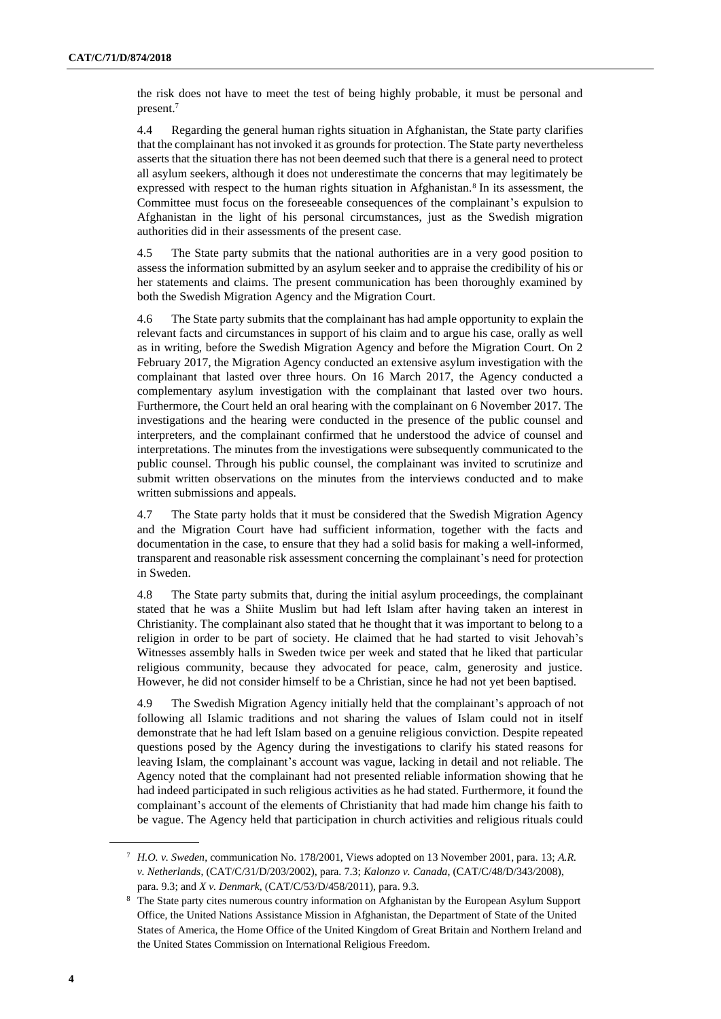the risk does not have to meet the test of being highly probable, it must be personal and present.<sup>7</sup>

4.4 Regarding the general human rights situation in Afghanistan, the State party clarifies that the complainant has not invoked it as grounds for protection. The State party nevertheless asserts that the situation there has not been deemed such that there is a general need to protect all asylum seekers, although it does not underestimate the concerns that may legitimately be expressed with respect to the human rights situation in Afghanistan.<sup>8</sup> In its assessment, the Committee must focus on the foreseeable consequences of the complainant's expulsion to Afghanistan in the light of his personal circumstances, just as the Swedish migration authorities did in their assessments of the present case.

4.5 The State party submits that the national authorities are in a very good position to assess the information submitted by an asylum seeker and to appraise the credibility of his or her statements and claims. The present communication has been thoroughly examined by both the Swedish Migration Agency and the Migration Court.

4.6 The State party submits that the complainant has had ample opportunity to explain the relevant facts and circumstances in support of his claim and to argue his case, orally as well as in writing, before the Swedish Migration Agency and before the Migration Court. On 2 February 2017, the Migration Agency conducted an extensive asylum investigation with the complainant that lasted over three hours. On 16 March 2017, the Agency conducted a complementary asylum investigation with the complainant that lasted over two hours. Furthermore, the Court held an oral hearing with the complainant on 6 November 2017. The investigations and the hearing were conducted in the presence of the public counsel and interpreters, and the complainant confirmed that he understood the advice of counsel and interpretations. The minutes from the investigations were subsequently communicated to the public counsel. Through his public counsel, the complainant was invited to scrutinize and submit written observations on the minutes from the interviews conducted and to make written submissions and appeals.

4.7 The State party holds that it must be considered that the Swedish Migration Agency and the Migration Court have had sufficient information, together with the facts and documentation in the case, to ensure that they had a solid basis for making a well-informed, transparent and reasonable risk assessment concerning the complainant's need for protection in Sweden.

4.8 The State party submits that, during the initial asylum proceedings, the complainant stated that he was a Shiite Muslim but had left Islam after having taken an interest in Christianity. The complainant also stated that he thought that it was important to belong to a religion in order to be part of society. He claimed that he had started to visit Jehovah's Witnesses assembly halls in Sweden twice per week and stated that he liked that particular religious community, because they advocated for peace, calm, generosity and justice. However, he did not consider himself to be a Christian, since he had not yet been baptised.

4.9 The Swedish Migration Agency initially held that the complainant's approach of not following all Islamic traditions and not sharing the values of Islam could not in itself demonstrate that he had left Islam based on a genuine religious conviction. Despite repeated questions posed by the Agency during the investigations to clarify his stated reasons for leaving Islam, the complainant's account was vague, lacking in detail and not reliable. The Agency noted that the complainant had not presented reliable information showing that he had indeed participated in such religious activities as he had stated. Furthermore, it found the complainant's account of the elements of Christianity that had made him change his faith to be vague. The Agency held that participation in church activities and religious rituals could

<sup>7</sup> *H.O. v. Sweden*, communication No. 178/2001, Views adopted on 13 November 2001, para. 13; *A.R. v. Netherlands*, (CAT/C/31/D/203/2002), para. 7.3; *Kalonzo v. Canada*, (CAT/C/48/D/343/2008), para. 9.3; and *X v. Denmark*, (CAT/C/53/D/458/2011), para. 9.3.

<sup>&</sup>lt;sup>8</sup> The State party cites numerous country information on Afghanistan by the European Asylum Support Office, the United Nations Assistance Mission in Afghanistan, the Department of State of the United States of America, the Home Office of the United Kingdom of Great Britain and Northern Ireland and the United States Commission on International Religious Freedom.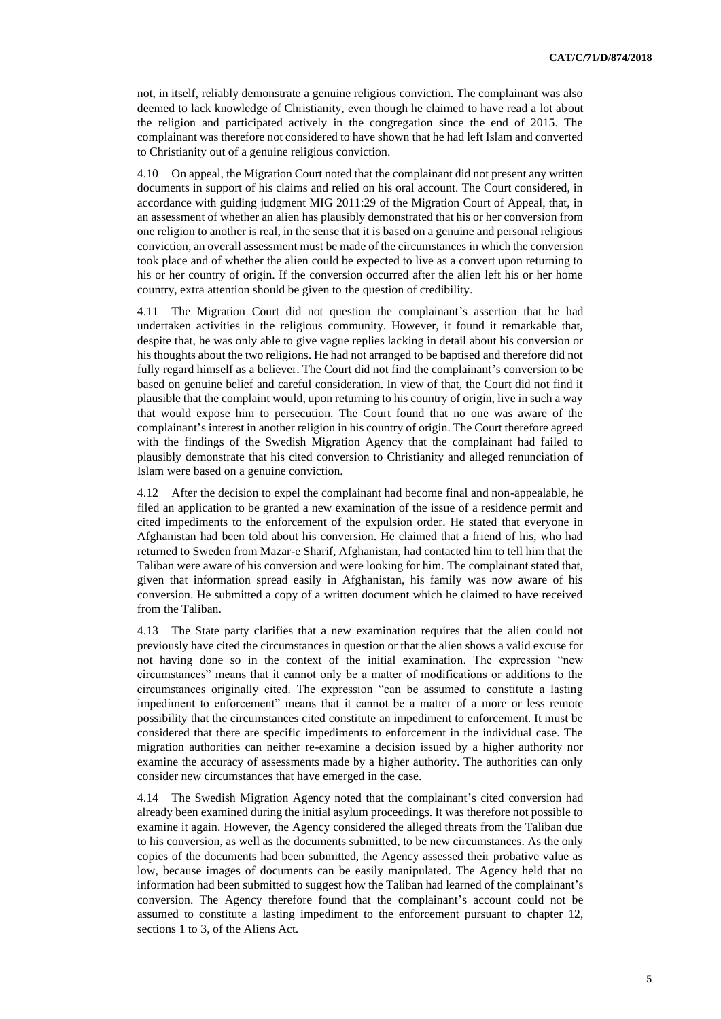not, in itself, reliably demonstrate a genuine religious conviction. The complainant was also deemed to lack knowledge of Christianity, even though he claimed to have read a lot about the religion and participated actively in the congregation since the end of 2015. The complainant was therefore not considered to have shown that he had left Islam and converted to Christianity out of a genuine religious conviction.

4.10 On appeal, the Migration Court noted that the complainant did not present any written documents in support of his claims and relied on his oral account. The Court considered, in accordance with guiding judgment MIG 2011:29 of the Migration Court of Appeal, that, in an assessment of whether an alien has plausibly demonstrated that his or her conversion from one religion to another is real, in the sense that it is based on a genuine and personal religious conviction, an overall assessment must be made of the circumstances in which the conversion took place and of whether the alien could be expected to live as a convert upon returning to his or her country of origin. If the conversion occurred after the alien left his or her home country, extra attention should be given to the question of credibility.

4.11 The Migration Court did not question the complainant's assertion that he had undertaken activities in the religious community. However, it found it remarkable that, despite that, he was only able to give vague replies lacking in detail about his conversion or his thoughts about the two religions. He had not arranged to be baptised and therefore did not fully regard himself as a believer. The Court did not find the complainant's conversion to be based on genuine belief and careful consideration. In view of that, the Court did not find it plausible that the complaint would, upon returning to his country of origin, live in such a way that would expose him to persecution. The Court found that no one was aware of the complainant's interest in another religion in his country of origin. The Court therefore agreed with the findings of the Swedish Migration Agency that the complainant had failed to plausibly demonstrate that his cited conversion to Christianity and alleged renunciation of Islam were based on a genuine conviction.

4.12 After the decision to expel the complainant had become final and non-appealable, he filed an application to be granted a new examination of the issue of a residence permit and cited impediments to the enforcement of the expulsion order. He stated that everyone in Afghanistan had been told about his conversion. He claimed that a friend of his, who had returned to Sweden from Mazar-e Sharif, Afghanistan, had contacted him to tell him that the Taliban were aware of his conversion and were looking for him. The complainant stated that, given that information spread easily in Afghanistan, his family was now aware of his conversion. He submitted a copy of a written document which he claimed to have received from the Taliban.

4.13 The State party clarifies that a new examination requires that the alien could not previously have cited the circumstances in question or that the alien shows a valid excuse for not having done so in the context of the initial examination. The expression "new circumstances" means that it cannot only be a matter of modifications or additions to the circumstances originally cited. The expression "can be assumed to constitute a lasting impediment to enforcement" means that it cannot be a matter of a more or less remote possibility that the circumstances cited constitute an impediment to enforcement. It must be considered that there are specific impediments to enforcement in the individual case. The migration authorities can neither re-examine a decision issued by a higher authority nor examine the accuracy of assessments made by a higher authority. The authorities can only consider new circumstances that have emerged in the case.

4.14 The Swedish Migration Agency noted that the complainant's cited conversion had already been examined during the initial asylum proceedings. It was therefore not possible to examine it again. However, the Agency considered the alleged threats from the Taliban due to his conversion, as well as the documents submitted, to be new circumstances. As the only copies of the documents had been submitted, the Agency assessed their probative value as low, because images of documents can be easily manipulated. The Agency held that no information had been submitted to suggest how the Taliban had learned of the complainant's conversion. The Agency therefore found that the complainant's account could not be assumed to constitute a lasting impediment to the enforcement pursuant to chapter 12, sections 1 to 3, of the Aliens Act.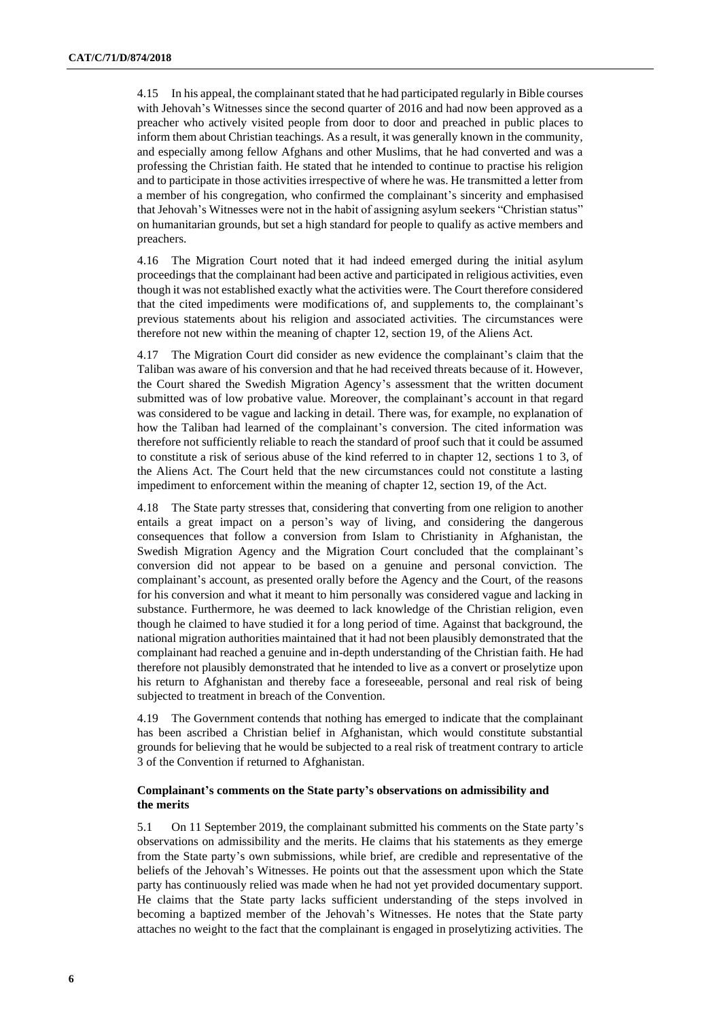4.15 In his appeal, the complainant stated that he had participated regularly in Bible courses with Jehovah's Witnesses since the second quarter of 2016 and had now been approved as a preacher who actively visited people from door to door and preached in public places to inform them about Christian teachings. As a result, it was generally known in the community, and especially among fellow Afghans and other Muslims, that he had converted and was a professing the Christian faith. He stated that he intended to continue to practise his religion and to participate in those activities irrespective of where he was. He transmitted a letter from a member of his congregation, who confirmed the complainant's sincerity and emphasised that Jehovah's Witnesses were not in the habit of assigning asylum seekers "Christian status" on humanitarian grounds, but set a high standard for people to qualify as active members and preachers.

4.16 The Migration Court noted that it had indeed emerged during the initial asylum proceedings that the complainant had been active and participated in religious activities, even though it was not established exactly what the activities were. The Court therefore considered that the cited impediments were modifications of, and supplements to, the complainant's previous statements about his religion and associated activities. The circumstances were therefore not new within the meaning of chapter 12, section 19, of the Aliens Act.

4.17 The Migration Court did consider as new evidence the complainant's claim that the Taliban was aware of his conversion and that he had received threats because of it. However, the Court shared the Swedish Migration Agency's assessment that the written document submitted was of low probative value. Moreover, the complainant's account in that regard was considered to be vague and lacking in detail. There was, for example, no explanation of how the Taliban had learned of the complainant's conversion. The cited information was therefore not sufficiently reliable to reach the standard of proof such that it could be assumed to constitute a risk of serious abuse of the kind referred to in chapter 12, sections 1 to 3, of the Aliens Act. The Court held that the new circumstances could not constitute a lasting impediment to enforcement within the meaning of chapter 12, section 19, of the Act.

4.18 The State party stresses that, considering that converting from one religion to another entails a great impact on a person's way of living, and considering the dangerous consequences that follow a conversion from Islam to Christianity in Afghanistan, the Swedish Migration Agency and the Migration Court concluded that the complainant's conversion did not appear to be based on a genuine and personal conviction. The complainant's account, as presented orally before the Agency and the Court, of the reasons for his conversion and what it meant to him personally was considered vague and lacking in substance. Furthermore, he was deemed to lack knowledge of the Christian religion, even though he claimed to have studied it for a long period of time. Against that background, the national migration authorities maintained that it had not been plausibly demonstrated that the complainant had reached a genuine and in-depth understanding of the Christian faith. He had therefore not plausibly demonstrated that he intended to live as a convert or proselytize upon his return to Afghanistan and thereby face a foreseeable, personal and real risk of being subjected to treatment in breach of the Convention.

4.19 The Government contends that nothing has emerged to indicate that the complainant has been ascribed a Christian belief in Afghanistan, which would constitute substantial grounds for believing that he would be subjected to a real risk of treatment contrary to article 3 of the Convention if returned to Afghanistan.

#### **Complainant's comments on the State party's observations on admissibility and the merits**

5.1 On 11 September 2019, the complainant submitted his comments on the State party's observations on admissibility and the merits. He claims that his statements as they emerge from the State party's own submissions, while brief, are credible and representative of the beliefs of the Jehovah's Witnesses. He points out that the assessment upon which the State party has continuously relied was made when he had not yet provided documentary support. He claims that the State party lacks sufficient understanding of the steps involved in becoming a baptized member of the Jehovah's Witnesses. He notes that the State party attaches no weight to the fact that the complainant is engaged in proselytizing activities. The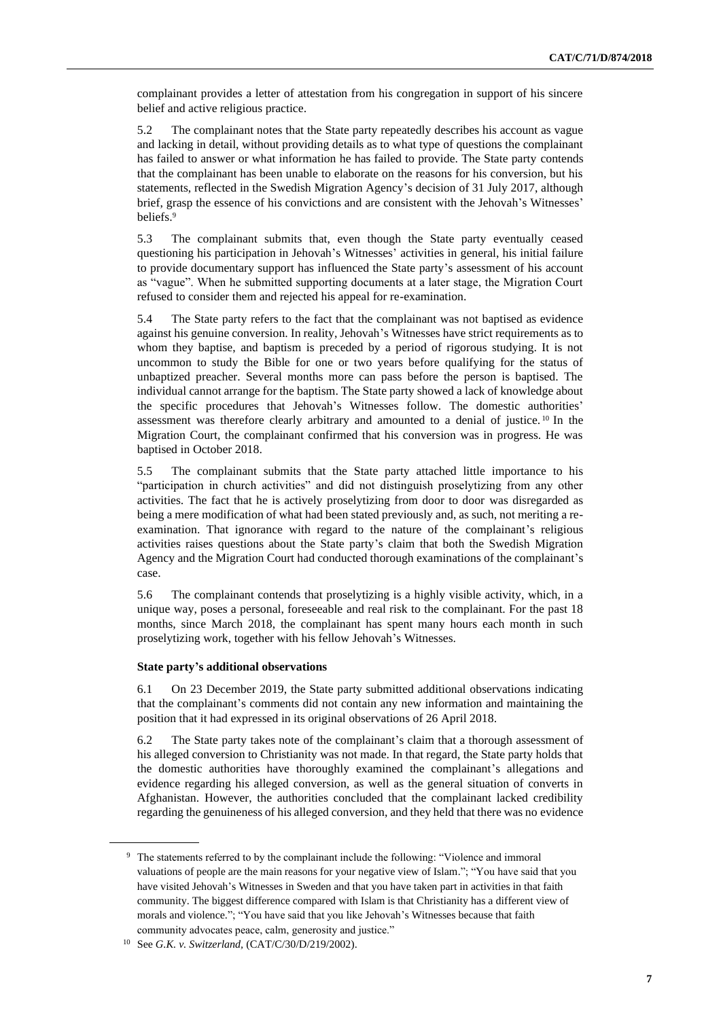complainant provides a letter of attestation from his congregation in support of his sincere belief and active religious practice.

5.2 The complainant notes that the State party repeatedly describes his account as vague and lacking in detail, without providing details as to what type of questions the complainant has failed to answer or what information he has failed to provide. The State party contends that the complainant has been unable to elaborate on the reasons for his conversion, but his statements, reflected in the Swedish Migration Agency's decision of 31 July 2017, although brief, grasp the essence of his convictions and are consistent with the Jehovah's Witnesses' beliefs.<sup>9</sup>

5.3 The complainant submits that, even though the State party eventually ceased questioning his participation in Jehovah's Witnesses' activities in general, his initial failure to provide documentary support has influenced the State party's assessment of his account as "vague". When he submitted supporting documents at a later stage, the Migration Court refused to consider them and rejected his appeal for re-examination.

5.4 The State party refers to the fact that the complainant was not baptised as evidence against his genuine conversion. In reality, Jehovah's Witnesses have strict requirements as to whom they baptise, and baptism is preceded by a period of rigorous studying. It is not uncommon to study the Bible for one or two years before qualifying for the status of unbaptized preacher. Several months more can pass before the person is baptised. The individual cannot arrange for the baptism. The State party showed a lack of knowledge about the specific procedures that Jehovah's Witnesses follow. The domestic authorities' assessment was therefore clearly arbitrary and amounted to a denial of justice. <sup>10</sup> In the Migration Court, the complainant confirmed that his conversion was in progress. He was baptised in October 2018.

5.5 The complainant submits that the State party attached little importance to his "participation in church activities" and did not distinguish proselytizing from any other activities. The fact that he is actively proselytizing from door to door was disregarded as being a mere modification of what had been stated previously and, as such, not meriting a reexamination. That ignorance with regard to the nature of the complainant's religious activities raises questions about the State party's claim that both the Swedish Migration Agency and the Migration Court had conducted thorough examinations of the complainant's case.

5.6 The complainant contends that proselytizing is a highly visible activity, which, in a unique way, poses a personal, foreseeable and real risk to the complainant. For the past 18 months, since March 2018, the complainant has spent many hours each month in such proselytizing work, together with his fellow Jehovah's Witnesses.

#### **State party's additional observations**

6.1 On 23 December 2019, the State party submitted additional observations indicating that the complainant's comments did not contain any new information and maintaining the position that it had expressed in its original observations of 26 April 2018.

6.2 The State party takes note of the complainant's claim that a thorough assessment of his alleged conversion to Christianity was not made. In that regard, the State party holds that the domestic authorities have thoroughly examined the complainant's allegations and evidence regarding his alleged conversion, as well as the general situation of converts in Afghanistan. However, the authorities concluded that the complainant lacked credibility regarding the genuineness of his alleged conversion, and they held that there was no evidence

<sup>9</sup> The statements referred to by the complainant include the following: "Violence and immoral valuations of people are the main reasons for your negative view of Islam."; "You have said that you have visited Jehovah's Witnesses in Sweden and that you have taken part in activities in that faith community. The biggest difference compared with Islam is that Christianity has a different view of morals and violence."; "You have said that you like Jehovah's Witnesses because that faith community advocates peace, calm, generosity and justice."

<sup>10</sup> See *G.K. v. Switzerland,* (CAT/C/30/D/219/2002).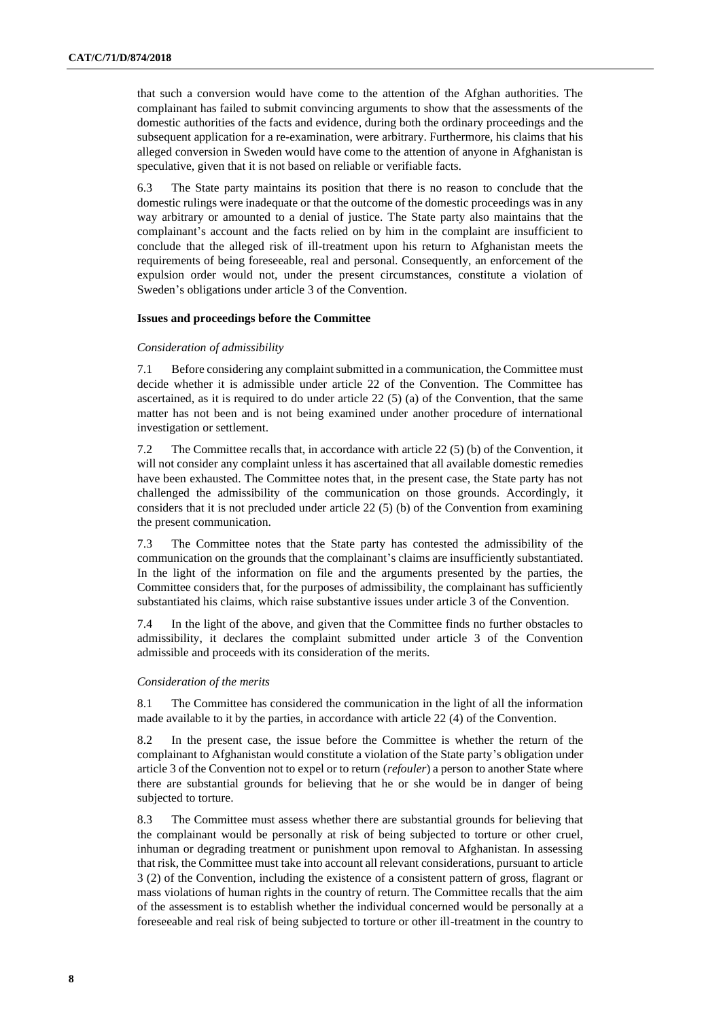that such a conversion would have come to the attention of the Afghan authorities. The complainant has failed to submit convincing arguments to show that the assessments of the domestic authorities of the facts and evidence, during both the ordinary proceedings and the subsequent application for a re-examination, were arbitrary. Furthermore, his claims that his alleged conversion in Sweden would have come to the attention of anyone in Afghanistan is speculative, given that it is not based on reliable or verifiable facts.

6.3 The State party maintains its position that there is no reason to conclude that the domestic rulings were inadequate or that the outcome of the domestic proceedings was in any way arbitrary or amounted to a denial of justice. The State party also maintains that the complainant's account and the facts relied on by him in the complaint are insufficient to conclude that the alleged risk of ill-treatment upon his return to Afghanistan meets the requirements of being foreseeable, real and personal. Consequently, an enforcement of the expulsion order would not, under the present circumstances, constitute a violation of Sweden's obligations under article 3 of the Convention.

#### **Issues and proceedings before the Committee**

#### *Consideration of admissibility*

7.1 Before considering any complaint submitted in a communication, the Committee must decide whether it is admissible under article 22 of the Convention. The Committee has ascertained, as it is required to do under article  $22(5)$  (a) of the Convention, that the same matter has not been and is not being examined under another procedure of international investigation or settlement.

7.2 The Committee recalls that, in accordance with article 22 (5) (b) of the Convention, it will not consider any complaint unless it has ascertained that all available domestic remedies have been exhausted. The Committee notes that, in the present case, the State party has not challenged the admissibility of the communication on those grounds. Accordingly, it considers that it is not precluded under article 22 (5) (b) of the Convention from examining the present communication.

7.3 The Committee notes that the State party has contested the admissibility of the communication on the grounds that the complainant's claims are insufficiently substantiated. In the light of the information on file and the arguments presented by the parties, the Committee considers that, for the purposes of admissibility, the complainant has sufficiently substantiated his claims, which raise substantive issues under article 3 of the Convention.

7.4 In the light of the above, and given that the Committee finds no further obstacles to admissibility, it declares the complaint submitted under article 3 of the Convention admissible and proceeds with its consideration of the merits.

#### *Consideration of the merits*

8.1 The Committee has considered the communication in the light of all the information made available to it by the parties, in accordance with article 22 (4) of the Convention.

8.2 In the present case, the issue before the Committee is whether the return of the complainant to Afghanistan would constitute a violation of the State party's obligation under article 3 of the Convention not to expel or to return (*refouler*) a person to another State where there are substantial grounds for believing that he or she would be in danger of being subjected to torture.

8.3 The Committee must assess whether there are substantial grounds for believing that the complainant would be personally at risk of being subjected to torture or other cruel, inhuman or degrading treatment or punishment upon removal to Afghanistan. In assessing that risk, the Committee must take into account all relevant considerations, pursuant to article 3 (2) of the Convention, including the existence of a consistent pattern of gross, flagrant or mass violations of human rights in the country of return. The Committee recalls that the aim of the assessment is to establish whether the individual concerned would be personally at a foreseeable and real risk of being subjected to torture or other ill-treatment in the country to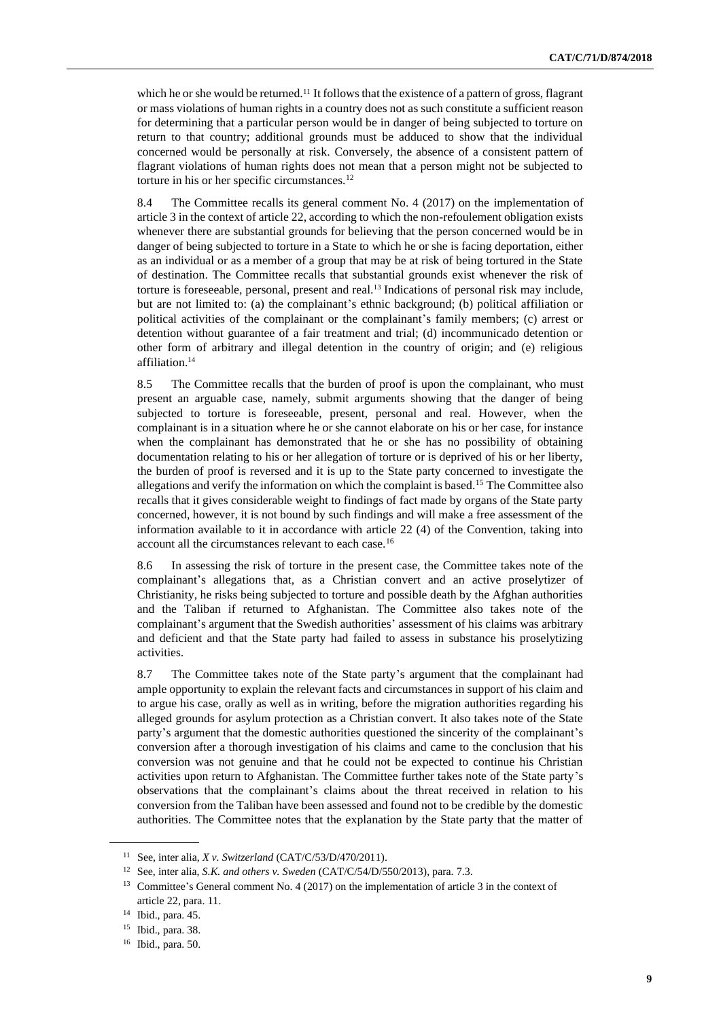which he or she would be returned.<sup>11</sup> It follows that the existence of a pattern of gross, flagrant or mass violations of human rights in a country does not as such constitute a sufficient reason for determining that a particular person would be in danger of being subjected to torture on return to that country; additional grounds must be adduced to show that the individual concerned would be personally at risk. Conversely, the absence of a consistent pattern of flagrant violations of human rights does not mean that a person might not be subjected to torture in his or her specific circumstances.<sup>12</sup>

8.4 The Committee recalls its general comment No. 4 (2017) on the implementation of article 3 in the context of article 22, according to which the non-refoulement obligation exists whenever there are substantial grounds for believing that the person concerned would be in danger of being subjected to torture in a State to which he or she is facing deportation, either as an individual or as a member of a group that may be at risk of being tortured in the State of destination. The Committee recalls that substantial grounds exist whenever the risk of torture is foreseeable, personal, present and real.<sup>13</sup> Indications of personal risk may include, but are not limited to: (a) the complainant's ethnic background; (b) political affiliation or political activities of the complainant or the complainant's family members; (c) arrest or detention without guarantee of a fair treatment and trial; (d) incommunicado detention or other form of arbitrary and illegal detention in the country of origin; and (e) religious affiliation.<sup>14</sup>

8.5 The Committee recalls that the burden of proof is upon the complainant, who must present an arguable case, namely, submit arguments showing that the danger of being subjected to torture is foreseeable, present, personal and real. However, when the complainant is in a situation where he or she cannot elaborate on his or her case, for instance when the complainant has demonstrated that he or she has no possibility of obtaining documentation relating to his or her allegation of torture or is deprived of his or her liberty, the burden of proof is reversed and it is up to the State party concerned to investigate the allegations and verify the information on which the complaint is based.<sup>15</sup> The Committee also recalls that it gives considerable weight to findings of fact made by organs of the State party concerned, however, it is not bound by such findings and will make a free assessment of the information available to it in accordance with article 22 (4) of the Convention, taking into account all the circumstances relevant to each case.<sup>16</sup>

8.6 In assessing the risk of torture in the present case, the Committee takes note of the complainant's allegations that, as a Christian convert and an active proselytizer of Christianity, he risks being subjected to torture and possible death by the Afghan authorities and the Taliban if returned to Afghanistan. The Committee also takes note of the complainant's argument that the Swedish authorities' assessment of his claims was arbitrary and deficient and that the State party had failed to assess in substance his proselytizing activities.

8.7 The Committee takes note of the State party's argument that the complainant had ample opportunity to explain the relevant facts and circumstances in support of his claim and to argue his case, orally as well as in writing, before the migration authorities regarding his alleged grounds for asylum protection as a Christian convert. It also takes note of the State party's argument that the domestic authorities questioned the sincerity of the complainant's conversion after a thorough investigation of his claims and came to the conclusion that his conversion was not genuine and that he could not be expected to continue his Christian activities upon return to Afghanistan. The Committee further takes note of the State party's observations that the complainant's claims about the threat received in relation to his conversion from the Taliban have been assessed and found not to be credible by the domestic authorities. The Committee notes that the explanation by the State party that the matter of

<sup>11</sup> See, inter alia, *X v. Switzerland* (CAT/C/53/D/470/2011).

<sup>12</sup> See, inter alia, *S.K. and others v. Sweden* (CAT/C/54/D/550/2013), para. 7.3.

<sup>&</sup>lt;sup>13</sup> Committee's General comment No. 4 (2017) on the implementation of article 3 in the context of article 22, para. 11.

<sup>14</sup> Ibid., para. 45.

<sup>15</sup> Ibid., para. 38.

<sup>16</sup> Ibid., para. 50.